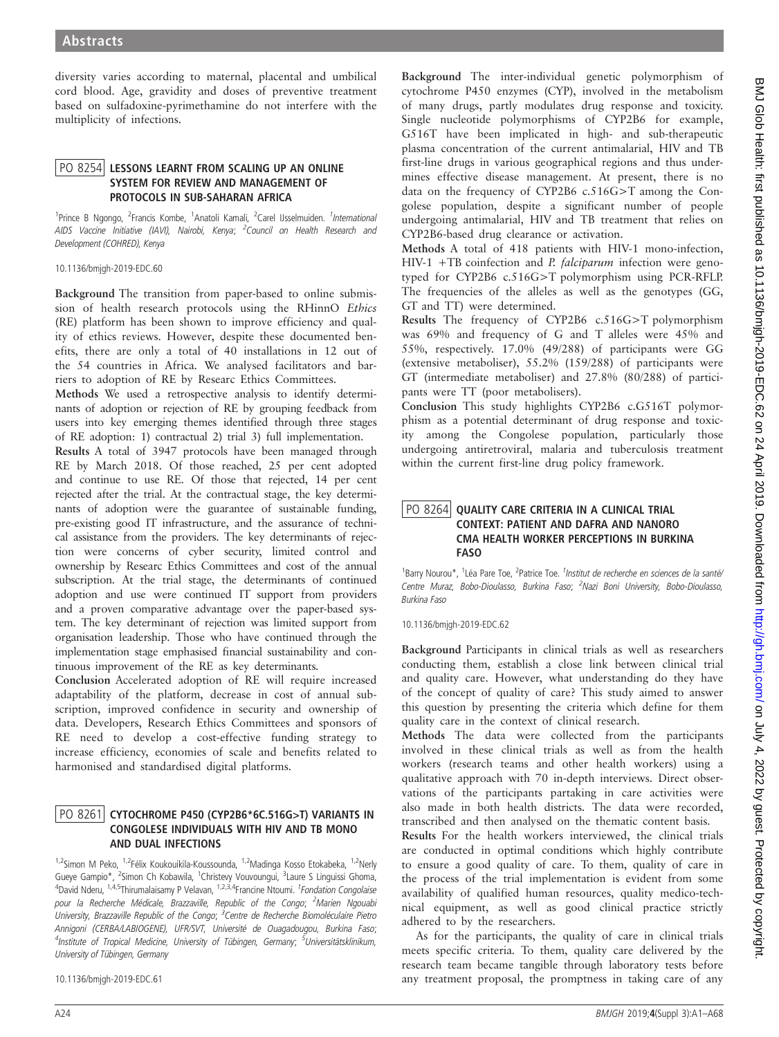diversity varies according to maternal, placental and umbilical cord blood. Age, gravidity and doses of preventive treatment based on sulfadoxine-pyrimethamine do not interfere with the multiplicity of infections.

# PO 8254 LESSONS LEARNT FROM SCALING UP AN ONLINE<br>SYSTEM FOR REVIEW AND MANAGEMENT OF PROTOCOLS IN SUB-SAHARAN AFRICA

<sup>1</sup> Prince B Ngongo, <sup>2</sup> Francis Kombe, <sup>1</sup> Anatoli Kamali, <sup>2</sup> Carel IJsselmuiden. <sup>1</sup> International AIDS Vaccine Initiative (IAVI), Nairobi, Kenya; <sup>2</sup>Council on Health Research and Development (COHRED), Kenya

#### 10.1136/bmjgh-2019-EDC.60

Background The transition from paper-based to online submission of health research protocols using the RHinnO Ethics (RE) platform has been shown to improve efficiency and quality of ethics reviews. However, despite these documented benefits, there are only a total of 40 installations in 12 out of the 54 countries in Africa. We analysed facilitators and barriers to adoption of RE by Researc Ethics Committees.

Methods We used a retrospective analysis to identify determinants of adoption or rejection of RE by grouping feedback from users into key emerging themes identified through three stages of RE adoption: 1) contractual 2) trial 3) full implementation.

Results A total of 3947 protocols have been managed through RE by March 2018. Of those reached, 25 per cent adopted and continue to use RE. Of those that rejected, 14 per cent rejected after the trial. At the contractual stage, the key determinants of adoption were the guarantee of sustainable funding, pre-existing good IT infrastructure, and the assurance of technical assistance from the providers. The key determinants of rejection were concerns of cyber security, limited control and ownership by Researc Ethics Committees and cost of the annual subscription. At the trial stage, the determinants of continued adoption and use were continued IT support from providers and a proven comparative advantage over the paper-based system. The key determinant of rejection was limited support from organisation leadership. Those who have continued through the implementation stage emphasised financial sustainability and continuous improvement of the RE as key determinants.

Conclusion Accelerated adoption of RE will require increased adaptability of the platform, decrease in cost of annual subscription, improved confidence in security and ownership of data. Developers, Research Ethics Committees and sponsors of RE need to develop a cost-effective funding strategy to increase efficiency, economies of scale and benefits related to harmonised and standardised digital platforms.

# PO 8261 CYTOCHROME P450 (CYP2B6\*6C.516G>T) VARIANTS IN CONGOLESE INDIVIDUALS WITH HIV AND TB MONO AND DUAL INFECTIONS

1,2<br><sup>1,2</sup>Simon M Peko, <sup>1,2</sup>Félix Koukouikila-Koussounda, <sup>1,2</sup>Madinga Kosso Etokabeka, <sup>1,2</sup>Nerly Gueye Gampio\*, <sup>2</sup>Simon Ch Kobawila, <sup>1</sup>Christevy Vouvoungui, <sup>3</sup>Laure S Linguissi Ghoma, <sup>4</sup>David Nderu, <sup>1,4,5</sup>Thirumalaisamy P Velavan, <sup>1,2,3,4</sup>Francine Ntoumi. *<sup>1</sup>Fondation Congolaise* pour la Recherche Médicale, Brazzaville, Republic of the Congo; <sup>2</sup>Marien Ngouabi University, Brazzaville Republic of the Congo; <sup>3</sup>Centre de Recherche Biomoléculaire Pietro Annigoni (CERBA/LABIOGENE), UFR/SVT, Université de Ouagadougou, Burkina Faso; <sup>4</sup>Institute of Tropical Medicine, University of Tübingen, Germany; <sup>5</sup>Universitätsklinikum, University of Tübingen, Germany

10.1136/bmjgh-2019-EDC.61

Background The inter-individual genetic polymorphism of cytochrome P450 enzymes (CYP), involved in the metabolism of many drugs, partly modulates drug response and toxicity. Single nucleotide polymorphisms of CYP2B6 for example, G516T have been implicated in high- and sub-therapeutic plasma concentration of the current antimalarial, HIV and TB first-line drugs in various geographical regions and thus undermines effective disease management. At present, there is no data on the frequency of CYP2B6 c.516G>T among the Congolese population, despite a significant number of people undergoing antimalarial, HIV and TB treatment that relies on CYP2B6-based drug clearance or activation.

Methods A total of 418 patients with HIV-1 mono-infection, HIV-1 +TB coinfection and *P. falciparum* infection were genotyped for CYP2B6 c.516G>T polymorphism using PCR-RFLP. The frequencies of the alleles as well as the genotypes (GG, GT and TT) were determined.

Results The frequency of CYP2B6 c.516G>T polymorphism was 69% and frequency of G and T alleles were 45% and 55%, respectively. 17.0% (49/288) of participants were GG (extensive metaboliser), 55.2% (159/288) of participants were GT (intermediate metaboliser) and 27.8% (80/288) of participants were TT (poor metabolisers).

Conclusion This study highlights CYP2B6 c.G516T polymorphism as a potential determinant of drug response and toxicity among the Congolese population, particularly those undergoing antiretroviral, malaria and tuberculosis treatment within the current first-line drug policy framework.

## PO 8264 QUALITY CARE CRITERIA IN A CLINICAL TRIAL<br>CONTEXT: PATIENT AND DAFRA AND NANORO CMA HEALTH WORKER PERCEPTIONS IN BURKINA  $EASO$

<sup>1</sup>Barry Nourou\*, <sup>1</sup>Léa Pare Toe, <sup>2</sup>Patrice Toe. <sup>1</sup>Institut de recherche en sciences de la santé Centre Muraz, Bobo-Dioulasso, Burkina Faso; <sup>2</sup>Nazi Boni University, Bobo-Dioulasso, Burkina Faso

10.1136/bmjgh-2019-EDC.62

Background Participants in clinical trials as well as researchers conducting them, establish a close link between clinical trial and quality care. However, what understanding do they have of the concept of quality of care? This study aimed to answer this question by presenting the criteria which define for them quality care in the context of clinical research.

Methods The data were collected from the participants involved in these clinical trials as well as from the health workers (research teams and other health workers) using a qualitative approach with 70 in-depth interviews. Direct observations of the participants partaking in care activities were also made in both health districts. The data were recorded, transcribed and then analysed on the thematic content basis.

Results For the health workers interviewed, the clinical trials are conducted in optimal conditions which highly contribute to ensure a good quality of care. To them, quality of care in the process of the trial implementation is evident from some availability of qualified human resources, quality medico-technical equipment, as well as good clinical practice strictly adhered to by the researchers.

As for the participants, the quality of care in clinical trials meets specific criteria. To them, quality care delivered by the research team became tangible through laboratory tests before any treatment proposal, the promptness in taking care of any